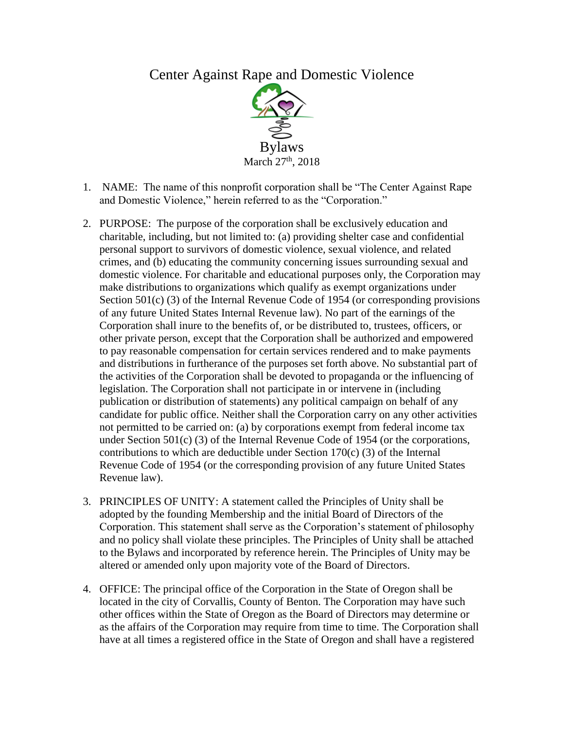# Center Against Rape and Domestic Violence



- 1. NAME: The name of this nonprofit corporation shall be "The Center Against Rape and Domestic Violence," herein referred to as the "Corporation."
- 2. PURPOSE: The purpose of the corporation shall be exclusively education and charitable, including, but not limited to: (a) providing shelter case and confidential personal support to survivors of domestic violence, sexual violence, and related crimes, and (b) educating the community concerning issues surrounding sexual and domestic violence. For charitable and educational purposes only, the Corporation may make distributions to organizations which qualify as exempt organizations under Section 501(c) (3) of the Internal Revenue Code of 1954 (or corresponding provisions of any future United States Internal Revenue law). No part of the earnings of the Corporation shall inure to the benefits of, or be distributed to, trustees, officers, or other private person, except that the Corporation shall be authorized and empowered to pay reasonable compensation for certain services rendered and to make payments and distributions in furtherance of the purposes set forth above. No substantial part of the activities of the Corporation shall be devoted to propaganda or the influencing of legislation. The Corporation shall not participate in or intervene in (including publication or distribution of statements) any political campaign on behalf of any candidate for public office. Neither shall the Corporation carry on any other activities not permitted to be carried on: (a) by corporations exempt from federal income tax under Section 501(c) (3) of the Internal Revenue Code of 1954 (or the corporations, contributions to which are deductible under Section 170(c) (3) of the Internal Revenue Code of 1954 (or the corresponding provision of any future United States Revenue law).
- 3. PRINCIPLES OF UNITY: A statement called the Principles of Unity shall be adopted by the founding Membership and the initial Board of Directors of the Corporation. This statement shall serve as the Corporation's statement of philosophy and no policy shall violate these principles. The Principles of Unity shall be attached to the Bylaws and incorporated by reference herein. The Principles of Unity may be altered or amended only upon majority vote of the Board of Directors.
- 4. OFFICE: The principal office of the Corporation in the State of Oregon shall be located in the city of Corvallis, County of Benton. The Corporation may have such other offices within the State of Oregon as the Board of Directors may determine or as the affairs of the Corporation may require from time to time. The Corporation shall have at all times a registered office in the State of Oregon and shall have a registered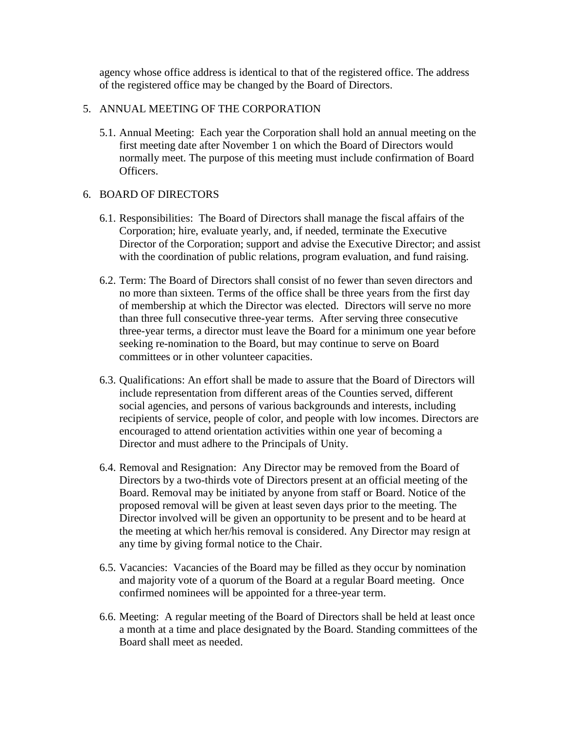agency whose office address is identical to that of the registered office. The address of the registered office may be changed by the Board of Directors.

## 5. ANNUAL MEETING OF THE CORPORATION

5.1. Annual Meeting: Each year the Corporation shall hold an annual meeting on the first meeting date after November 1 on which the Board of Directors would normally meet. The purpose of this meeting must include confirmation of Board Officers.

# 6. BOARD OF DIRECTORS

- 6.1. Responsibilities: The Board of Directors shall manage the fiscal affairs of the Corporation; hire, evaluate yearly, and, if needed, terminate the Executive Director of the Corporation; support and advise the Executive Director; and assist with the coordination of public relations, program evaluation, and fund raising.
- 6.2. Term: The Board of Directors shall consist of no fewer than seven directors and no more than sixteen. Terms of the office shall be three years from the first day of membership at which the Director was elected. Directors will serve no more than three full consecutive three-year terms. After serving three consecutive three-year terms, a director must leave the Board for a minimum one year before seeking re-nomination to the Board, but may continue to serve on Board committees or in other volunteer capacities.
- 6.3. Qualifications: An effort shall be made to assure that the Board of Directors will include representation from different areas of the Counties served, different social agencies, and persons of various backgrounds and interests, including recipients of service, people of color, and people with low incomes. Directors are encouraged to attend orientation activities within one year of becoming a Director and must adhere to the Principals of Unity.
- 6.4. Removal and Resignation: Any Director may be removed from the Board of Directors by a two-thirds vote of Directors present at an official meeting of the Board. Removal may be initiated by anyone from staff or Board. Notice of the proposed removal will be given at least seven days prior to the meeting. The Director involved will be given an opportunity to be present and to be heard at the meeting at which her/his removal is considered. Any Director may resign at any time by giving formal notice to the Chair.
- 6.5. Vacancies: Vacancies of the Board may be filled as they occur by nomination and majority vote of a quorum of the Board at a regular Board meeting. Once confirmed nominees will be appointed for a three-year term.
- 6.6. Meeting: A regular meeting of the Board of Directors shall be held at least once a month at a time and place designated by the Board. Standing committees of the Board shall meet as needed.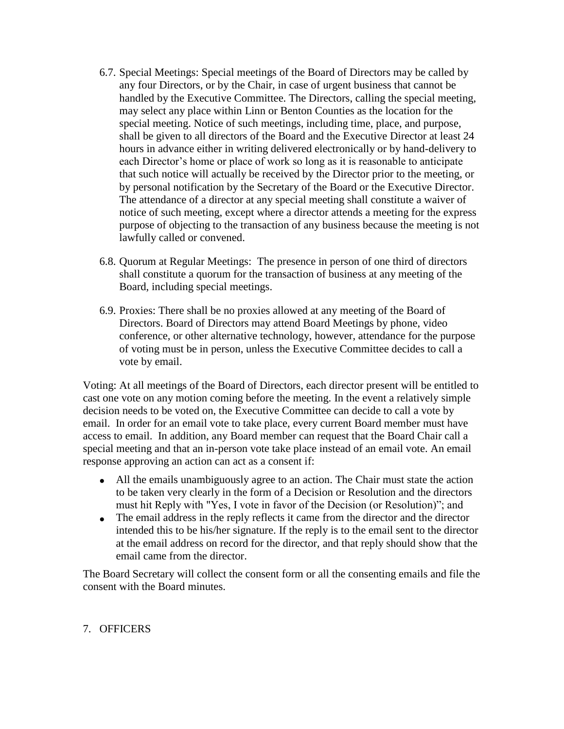- 6.7. Special Meetings: Special meetings of the Board of Directors may be called by any four Directors, or by the Chair, in case of urgent business that cannot be handled by the Executive Committee. The Directors, calling the special meeting, may select any place within Linn or Benton Counties as the location for the special meeting. Notice of such meetings, including time, place, and purpose, shall be given to all directors of the Board and the Executive Director at least 24 hours in advance either in writing delivered electronically or by hand-delivery to each Director's home or place of work so long as it is reasonable to anticipate that such notice will actually be received by the Director prior to the meeting, or by personal notification by the Secretary of the Board or the Executive Director. The attendance of a director at any special meeting shall constitute a waiver of notice of such meeting, except where a director attends a meeting for the express purpose of objecting to the transaction of any business because the meeting is not lawfully called or convened.
- 6.8. Quorum at Regular Meetings: The presence in person of one third of directors shall constitute a quorum for the transaction of business at any meeting of the Board, including special meetings.
- 6.9. Proxies: There shall be no proxies allowed at any meeting of the Board of Directors. Board of Directors may attend Board Meetings by phone, video conference, or other alternative technology, however, attendance for the purpose of voting must be in person, unless the Executive Committee decides to call a vote by email.

Voting: At all meetings of the Board of Directors, each director present will be entitled to cast one vote on any motion coming before the meeting. In the event a relatively simple decision needs to be voted on, the Executive Committee can decide to call a vote by email. In order for an email vote to take place, every current Board member must have access to email. In addition, any Board member can request that the Board Chair call a special meeting and that an in-person vote take place instead of an email vote. An email response approving an action can act as a consent if:

- All the emails unambiguously agree to an action. The Chair must state the action to be taken very clearly in the form of a Decision or Resolution and the directors must hit Reply with "Yes, I vote in favor of the Decision (or Resolution)"; and
- The email address in the reply reflects it came from the director and the director intended this to be his/her signature. If the reply is to the email sent to the director at the email address on record for the director, and that reply should show that the email came from the director.

The Board Secretary will collect the consent form or all the consenting emails and file the consent with the Board minutes.

# 7. OFFICERS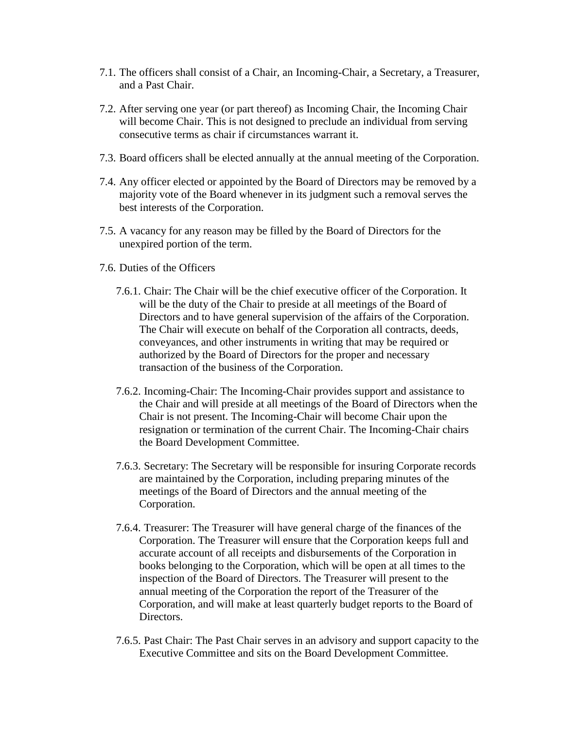- 7.1. The officers shall consist of a Chair, an Incoming-Chair, a Secretary, a Treasurer, and a Past Chair.
- 7.2. After serving one year (or part thereof) as Incoming Chair, the Incoming Chair will become Chair. This is not designed to preclude an individual from serving consecutive terms as chair if circumstances warrant it.
- 7.3. Board officers shall be elected annually at the annual meeting of the Corporation.
- 7.4. Any officer elected or appointed by the Board of Directors may be removed by a majority vote of the Board whenever in its judgment such a removal serves the best interests of the Corporation.
- 7.5. A vacancy for any reason may be filled by the Board of Directors for the unexpired portion of the term.
- 7.6. Duties of the Officers
	- 7.6.1. Chair: The Chair will be the chief executive officer of the Corporation. It will be the duty of the Chair to preside at all meetings of the Board of Directors and to have general supervision of the affairs of the Corporation. The Chair will execute on behalf of the Corporation all contracts, deeds, conveyances, and other instruments in writing that may be required or authorized by the Board of Directors for the proper and necessary transaction of the business of the Corporation.
	- 7.6.2. Incoming-Chair: The Incoming-Chair provides support and assistance to the Chair and will preside at all meetings of the Board of Directors when the Chair is not present. The Incoming-Chair will become Chair upon the resignation or termination of the current Chair. The Incoming-Chair chairs the Board Development Committee.
	- 7.6.3. Secretary: The Secretary will be responsible for insuring Corporate records are maintained by the Corporation, including preparing minutes of the meetings of the Board of Directors and the annual meeting of the Corporation.
	- 7.6.4. Treasurer: The Treasurer will have general charge of the finances of the Corporation. The Treasurer will ensure that the Corporation keeps full and accurate account of all receipts and disbursements of the Corporation in books belonging to the Corporation, which will be open at all times to the inspection of the Board of Directors. The Treasurer will present to the annual meeting of the Corporation the report of the Treasurer of the Corporation, and will make at least quarterly budget reports to the Board of Directors.
	- 7.6.5. Past Chair: The Past Chair serves in an advisory and support capacity to the Executive Committee and sits on the Board Development Committee.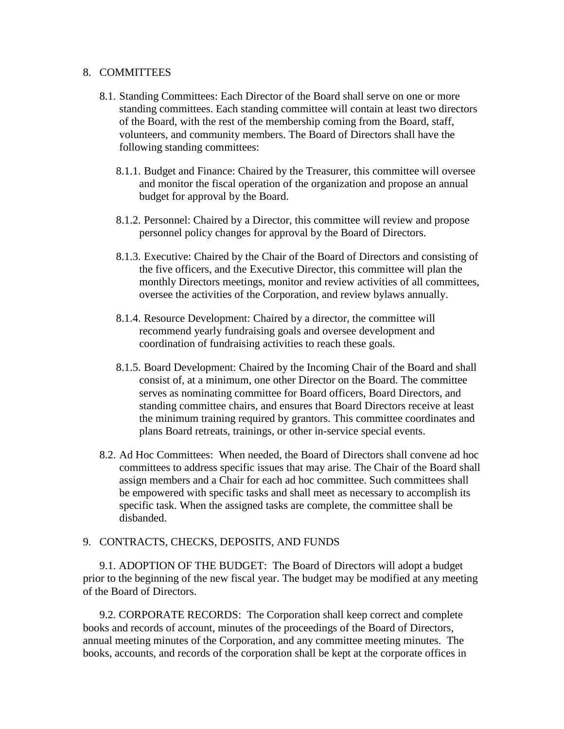#### 8. COMMITTEES

- 8.1. Standing Committees: Each Director of the Board shall serve on one or more standing committees. Each standing committee will contain at least two directors of the Board, with the rest of the membership coming from the Board, staff, volunteers, and community members. The Board of Directors shall have the following standing committees:
	- 8.1.1. Budget and Finance: Chaired by the Treasurer, this committee will oversee and monitor the fiscal operation of the organization and propose an annual budget for approval by the Board.
	- 8.1.2. Personnel: Chaired by a Director, this committee will review and propose personnel policy changes for approval by the Board of Directors.
	- 8.1.3. Executive: Chaired by the Chair of the Board of Directors and consisting of the five officers, and the Executive Director, this committee will plan the monthly Directors meetings, monitor and review activities of all committees, oversee the activities of the Corporation, and review bylaws annually.
	- 8.1.4. Resource Development: Chaired by a director, the committee will recommend yearly fundraising goals and oversee development and coordination of fundraising activities to reach these goals.
	- 8.1.5. Board Development: Chaired by the Incoming Chair of the Board and shall consist of, at a minimum, one other Director on the Board. The committee serves as nominating committee for Board officers, Board Directors, and standing committee chairs, and ensures that Board Directors receive at least the minimum training required by grantors. This committee coordinates and plans Board retreats, trainings, or other in-service special events.
- 8.2. Ad Hoc Committees: When needed, the Board of Directors shall convene ad hoc committees to address specific issues that may arise. The Chair of the Board shall assign members and a Chair for each ad hoc committee. Such committees shall be empowered with specific tasks and shall meet as necessary to accomplish its specific task. When the assigned tasks are complete, the committee shall be disbanded.

## 9. CONTRACTS, CHECKS, DEPOSITS, AND FUNDS

9.1. ADOPTION OF THE BUDGET: The Board of Directors will adopt a budget prior to the beginning of the new fiscal year. The budget may be modified at any meeting of the Board of Directors.

9.2. CORPORATE RECORDS: The Corporation shall keep correct and complete books and records of account, minutes of the proceedings of the Board of Directors, annual meeting minutes of the Corporation, and any committee meeting minutes. The books, accounts, and records of the corporation shall be kept at the corporate offices in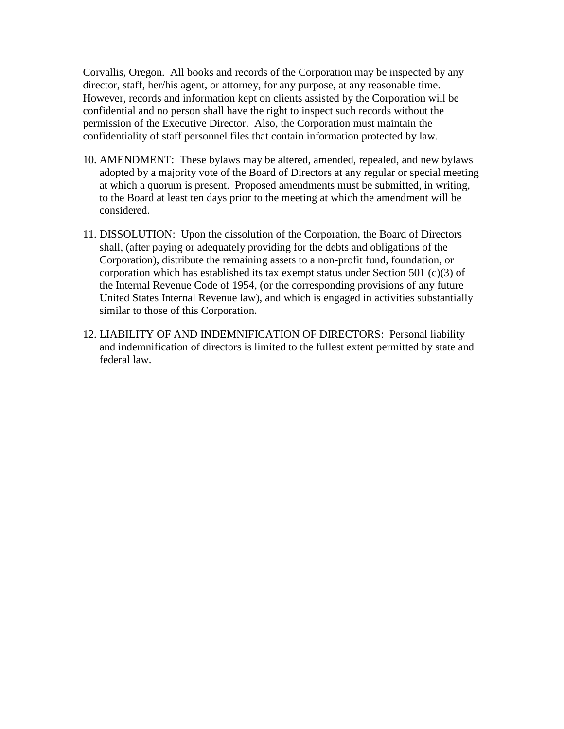Corvallis, Oregon. All books and records of the Corporation may be inspected by any director, staff, her/his agent, or attorney, for any purpose, at any reasonable time. However, records and information kept on clients assisted by the Corporation will be confidential and no person shall have the right to inspect such records without the permission of the Executive Director. Also, the Corporation must maintain the confidentiality of staff personnel files that contain information protected by law.

- 10. AMENDMENT: These bylaws may be altered, amended, repealed, and new bylaws adopted by a majority vote of the Board of Directors at any regular or special meeting at which a quorum is present. Proposed amendments must be submitted, in writing, to the Board at least ten days prior to the meeting at which the amendment will be considered.
- 11. DISSOLUTION: Upon the dissolution of the Corporation, the Board of Directors shall, (after paying or adequately providing for the debts and obligations of the Corporation), distribute the remaining assets to a non-profit fund, foundation, or corporation which has established its tax exempt status under Section 501 (c)(3) of the Internal Revenue Code of 1954, (or the corresponding provisions of any future United States Internal Revenue law), and which is engaged in activities substantially similar to those of this Corporation.
- 12. LIABILITY OF AND INDEMNIFICATION OF DIRECTORS: Personal liability and indemnification of directors is limited to the fullest extent permitted by state and federal law.